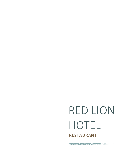# RED LION HOTEL **RESTAURANT**

The substitution of the contract of the contract of the contract of the contract of the contract of the contract of